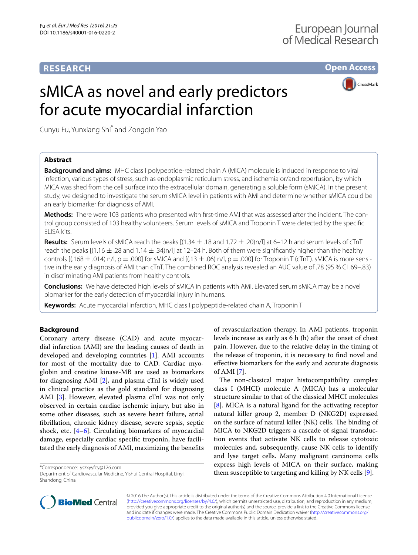# **RESEARCH**

**Open Access**

# sMICA as novel and early predictors for acute myocardial infarction



Cunyu Fu, Yunxiang Shi\* and Zongqin Yao

# **Abstract**

**Background and aims:** MHC class I polypeptide-related chain A (MICA) molecule is induced in response to viral infection, various types of stress, such as endoplasmic reticulum stress, and ischemia or/and reperfusion, by which MICA was shed from the cell surface into the extracellular domain, generating a soluble form (sMICA). In the present study, we designed to investigate the serum sMICA level in patients with AMI and determine whether sMICA could be an early biomarker for diagnosis of AMI.

**Methods:** There were 103 patients who presented with first-time AMI that was assessed after the incident. The control group consisted of 103 healthy volunteers. Serum levels of sMICA and Troponin T were detected by the specific ELISA kits.

**Results:** Serum levels of sMICA reach the peaks [(1.34 ± .18 and 1.72 ± .20)n/l] at 6–12 h and serum levels of cTnT reach the peaks  $[(1.16 \pm .28 \text{ and } 1.14 \pm .34) \text{ n}$ /I] at 12–24 h. Both of them were significantly higher than the healthy controls [(.168  $\pm$  .014) n/l, p = .000] for sMICA and [(.13  $\pm$  .06) n/l, p = .000] for Troponin T (cTnT). sMICA is more sensitive in the early diagnosis of AMI than cTnT. The combined ROC analysis revealed an AUC value of .78 (95 % CI .69–.83) in discriminating AMI patients from healthy controls.

**Conclusions:** We have detected high levels of sMICA in patients with AMI. Elevated serum sMICA may be a novel biomarker for the early detection of myocardial injury in humans.

**Keywords:** Acute myocardial infarction, MHC class I polypeptide-related chain A, Troponin T

# **Background**

Coronary artery disease (CAD) and acute myocardial infarction (AMI) are the leading causes of death in developed and developing countries [\[1](#page-3-0)]. AMI accounts for most of the mortality due to CAD. Cardiac myoglobin and creatine kinase-MB are used as biomarkers for diagnosing AMI [[2\]](#page-3-1), and plasma cTnI is widely used in clinical practice as the gold standard for diagnosing AMI [[3\]](#page-3-2). However, elevated plasma cTnI was not only observed in certain cardiac ischemic injury, but also in some other diseases, such as severe heart failure, atrial fibrillation, chronic kidney disease, severe sepsis, septic shock, etc. [\[4](#page-3-3)[–6](#page-4-0)]. Circulating biomarkers of myocardial damage, especially cardiac specific troponin, have facilitated the early diagnosis of AMI, maximizing the benefits

\*Correspondence: yszxyyfcy@126.com

Department of Cardiovascular Medicine, Yishui Central Hospital, Linyi, Shandong, China

of revascularization therapy. In AMI patients, troponin levels increase as early as 6 h (h) after the onset of chest pain. However, due to the relative delay in the timing of the release of troponin, it is necessary to find novel and effective biomarkers for the early and accurate diagnosis of AMI [\[7](#page-4-1)].

The non-classical major histocompatibility complex class I (MHCI) molecule A (MICA) has a molecular structure similar to that of the classical MHCI molecules [[8\]](#page-4-2). MICA is a natural ligand for the activating receptor natural killer group 2, member D (NKG2D) expressed on the surface of natural killer (NK) cells. The binding of MICA to NKG2D triggers a cascade of signal transduction events that activate NK cells to release cytotoxic molecules and, subsequently, cause NK cells to identify and lyse target cells. Many malignant carcinoma cells express high levels of MICA on their surface, making them susceptible to targeting and killing by NK cells [\[9](#page-4-3)].



© 2016 The Author(s). This article is distributed under the terms of the Creative Commons Attribution 4.0 International License [\(http://creativecommons.org/licenses/by/4.0/\)](http://creativecommons.org/licenses/by/4.0/), which permits unrestricted use, distribution, and reproduction in any medium, provided you give appropriate credit to the original author(s) and the source, provide a link to the Creative Commons license, and indicate if changes were made. The Creative Commons Public Domain Dedication waiver ([http://creativecommons.org/](http://creativecommons.org/publicdomain/zero/1.0/) [publicdomain/zero/1.0/](http://creativecommons.org/publicdomain/zero/1.0/)) applies to the data made available in this article, unless otherwise stated.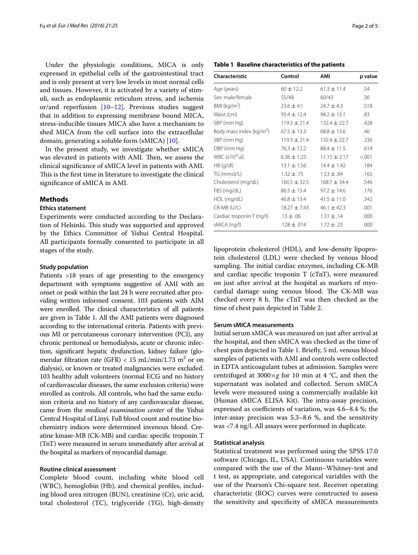Under the physiologic conditions, MICA is only expressed in epithelial cells of the gastrointestinal tract and is only present at very low levels in most normal cells and tissues. However, it is activated by a variety of stimuli, such as endoplasmic reticulum stress, and ischemia or/and reperfusion [\[10–](#page-4-4)[12\]](#page-4-5). Previous studies suggest that in addition to expressing membrane bound MICA, stress-inducible tissues MICA also have a mechanism to shed MICA from the cell surface into the extracellular domain, generating a soluble form (sMICA) [[10](#page-4-4)].

In the present study, we investigate whether sMICA was elevated in patients with AMI. Then, we assess the clinical significance of sMICA level in patients with AMI. This is the first time in literature to investigate the clinical significance of sMICA in AMI.

## **Methods**

#### **Ethics statement**

Experiments were conducted according to the Declaration of Helsinki. This study was supported and approved by the Ethics Committee of Yishui Central Hospital. All participants formally consented to participate in all stages of the study.

#### **Study population**

Patients >18 years of age presenting to the emergency department with symptoms suggestive of AMI with an onset or peak within the last 24 h were recruited after providing written informed consent. 103 patients with AIM were enrolled. The clinical characteristics of all patients are given in Table [1](#page-1-0). All the AMI patients were diagnosed according to the international criteria. Patients with previous MI or percutaneous coronary intervention (PCI), any chronic peritoneal or hemodialysis, acute or chronic infection, significant hepatic dysfunction, kidney failure (glomerular filtration rate (GFR) <  $15 \text{ mL/min}/1.73 \text{ m}^2$  or on dialysis), or known or treated malignancies were excluded. 103 healthy adult volunteers (normal ECG and no history of cardiovascular diseases, the same exclusion criteria) were enrolled as controls. All controls, who had the same exclusion criteria and no history of any cardiovascular disease, came from the *medical examination center* of the Yishui Central Hospital of Linyi. Full blood count and routine biochemistry indices were determined invenous blood. Creatine kinase-MB (CK-MB) and cardiac specific troponin T (TnT) were measured in serum immediately after arrival at the hospital as markers of myocardial damage.

#### **Routine clinical assessment**

Complete blood count, including white blood cell (WBC), hemoglobin (Hb), and chemical profiles, including blood urea nitrogen (BUN), creatinine (Cr), uric acid, total cholesterol (TC), triglyceride (TG), high-density

<span id="page-1-0"></span>

|  |  | Table 1 Baseline characteristics of the patients |  |  |
|--|--|--------------------------------------------------|--|--|
|--|--|--------------------------------------------------|--|--|

| Characteristic                       | Control          | AMI              | p value |
|--------------------------------------|------------------|------------------|---------|
| Age (years)                          | $60 \pm 12.2$    | $61.3 \pm 11.4$  | .54     |
| Sex: male/female                     | 55/48            | 60/43            | .36     |
| BMI ( $kg/m2$ )                      | $23.6 \pm 4.1$   | $24.7 \pm 4.3$   | .518    |
| Waist (cm)                           | $93.4 \pm 12.4$  | $94.2 \pm 13.1$  | .83     |
| SBP (mm Hg)                          | $119.3 \pm 21.4$ | $132.4 \pm 22.7$ | .428    |
| Body mass index (kg/m <sup>2</sup> ) | $67.5 \pm 13.3$  | $68.8 \pm 13.6$  | .46     |
| SBP (mm Hg)                          | $119.3 + 21.4$   | $132.4 \pm 22.7$ | .236    |
| DBP (mm Hg)                          | $76.3 \pm 12.2$  | $88.4 \pm 11.5$  | .614    |
| WBC (x10 <sup>3/</sup> ul)           | $6.36 \pm 1.23$  | $11.15 \pm 2.17$ | < 0.001 |
| HB (g/dl)                            | $13.1 \pm 1.56$  | $14.4 \pm 1.42$  | .184    |
| TG (mmol/L)                          | $1.32 \pm .75$   | $1.53 \pm .84$   | .165    |
| Cholesterol (mg/dL)                  | $166.5 \pm 32.5$ | $168.7 \pm 34.4$ | .546    |
| FBS (mg/dL)                          | $86.5 \pm 15.4$  | $97.2 \pm 14.6$  | .176    |
| HDL (mg/dL)                          | $46.8 \pm 13.4$  | $41.5 \pm 11.0$  | .342    |
| CK-MB (U/L)                          | $18.27 \pm 7.43$ | $46.1 \pm 42.3$  | .001    |
| Cardiac troponin T (ng/l)            | $.13 \pm .06$    | $1.31 \pm .14$   | .000    |
| sMICA (ng/l)                         | $.128 \pm .014$  | $1.72 \pm .23$   | .000    |
|                                      |                  |                  |         |

lipoprotein cholesterol (HDL), and low-density lipoprotein cholesterol (LDL) were checked by venous blood sampling. The initial cardiac enzymes, including CK-MB and cardiac specific troponin T (cTnT), were measured on just after arrival at the hospital as markers of myocardial damage using venous blood. The CK-MB was checked every 8 h. The cTnT was then checked as the time of chest pain depicted in Table [2](#page-2-0).

#### **Serum sMICA measurements**

Initial serum sMICA was measured on just after arrival at the hospital, and then sMICA was checked as the time of chest pain depicted in Table [1.](#page-1-0) Briefly, 5 mL venous blood samples of patients with AMI and controls were collected in EDTA anticoagulant tubes at admission. Samples were centrifuged at  $3000 \times g$  for 10 min at 4 °C, and then the supernatant was isolated and collected. Serum sMICA levels were measured using a commercially available kit (Human sMICA ELISA Kit). The intra-assay precision, expressed as coefficients of variation, was 4.6–8.4 %; the inter-assay precision was 5.3–8.6 %, and the sensitivity was <7.4 ng/l. All assays were performed in duplicate.

#### **Statistical analysis**

Statistical treatment was performed using the SPSS 17.0 software (Chicago, IL, USA). Continuous variables were compared with the use of the Mann–Whitney-test and t test, as appropriate, and categorical variables with the use of the Pearson's Chi-square test. Receiver operating characteristic (ROC) curves were constructed to assess the sensitivity and specificity of sMICA measurements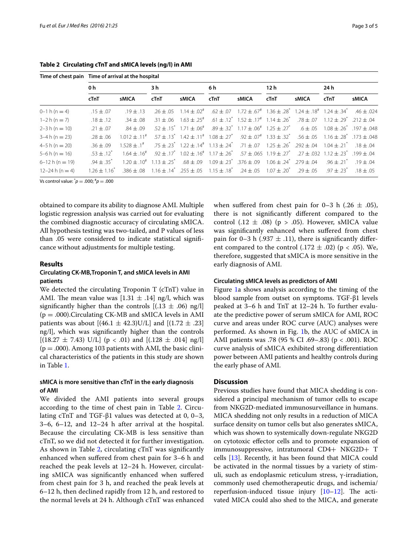|                     | Time of chest pain Time of arrival at the hospital |                                                                                                                                   |               |                     |      |                                                                                                                                                       |      |              |      |                             |
|---------------------|----------------------------------------------------|-----------------------------------------------------------------------------------------------------------------------------------|---------------|---------------------|------|-------------------------------------------------------------------------------------------------------------------------------------------------------|------|--------------|------|-----------------------------|
|                     | 0 h                                                |                                                                                                                                   | 3 h           |                     | 6 h  |                                                                                                                                                       | 12h  |              | 24 h |                             |
|                     | cTnT                                               | sMICA                                                                                                                             | cTnT          | <b>sMICA</b>        | cTnT | sMICA                                                                                                                                                 | cTnT | <b>sMICA</b> | cTnT | <b>sMICA</b>                |
| $0-1 h (n = 4)$     | $.15 \pm .07$                                      | $.19 \pm .13$                                                                                                                     | $.26 \pm .05$ | $1.14 \pm .02^{\#}$ |      | $.62 \pm .07$ $1.72 \pm .67$ $1.36 \pm .28$ $1.24 \pm .18$ $1.24 \pm .34$ $.34$ $.46 \pm .024$                                                        |      |              |      |                             |
| $1 - 2 h (n = 7)$   | $.18 \pm .12$                                      | $.34 \pm .08$                                                                                                                     |               |                     |      | $.31 \pm .06$ $1.63 \pm .25^{\#}$ $.61 \pm .12^{\ast}$ $1.52 \pm .17^{\#}$ $1.14 \pm .26^{\ast}$ $.78 \pm .07$ $1.12 \pm .29^{\ast}$ $.212 \pm .04$   |      |              |      |                             |
| $2-3 h (n = 10)$    | $.21 \pm .07$                                      | $.84 \pm .09$                                                                                                                     |               |                     |      | $.52 \pm .15^{*}$ $1.71 \pm .06^{*}$ $.89 \pm .32^{*}$ $1.17 \pm .06^{*}$ $1.25 \pm .27^{*}$ $.6 \pm .05$ $1.08 \pm .26^{*}$ $.197 \pm .048$          |      |              |      |                             |
| $3-4 h (n = 23)$    | $.28 \pm .06$                                      | $1.012 \pm .11^*$                                                                                                                 |               |                     |      | $.57 \pm .13^{*}$ $1.42 \pm .11^{*}$ $1.08 \pm .27^{*}$ $.92 \pm .07^{*}$ $1.33 \pm .32^{*}$ $.56 \pm .05$ $1.16 \pm .28^{*}$ $.173 \pm .048$         |      |              |      |                             |
| $4-5 h (n = 20)$    | $.36 \pm .09$                                      | $1.528 \pm .1^*$                                                                                                                  |               |                     |      | .75 ± .23 <sup>*</sup> 1.22 ± .14 <sup>*</sup> 1.13 ± .24 <sup>*</sup> .71 ± .07 1.25 ± .26 <sup>*</sup> .292 ± .04 1.04 ± .21 <sup>*</sup> .18 ± .04 |      |              |      |                             |
| $5-6 h (n = 16)$    | $.53 \pm .12^{*}$                                  | $1.64 \pm .16^{\#}$                                                                                                               |               |                     |      | $.92 \pm .17^{*}$ $1.02 \pm .16^{*}$ $1.17 \pm .26^{*}$ $.57 \pm .065$ $1.19 \pm .27^{*}$ $.27 \pm .032$ $1.12 \pm .23^{*}$ $.199 \pm .04$            |      |              |      |                             |
| $6 - 12 h (n = 19)$ | $.94 \pm .35$ <sup>*</sup>                         | $1.20 \pm .10^{\#}$ $1.13 \pm .25^{\ast}$ $.68 \pm .09$ $1.09 \pm .23^{\ast}$ $.376 \pm .09$ $1.06 \pm .24^{\ast}$ $.279 \pm .04$ |               |                     |      |                                                                                                                                                       |      |              |      | $.96 \pm .21$ $.19 \pm .04$ |
| $12 - 24 h (n = 4)$ | $1.26 \pm 1.16^*$                                  |                                                                                                                                   |               |                     |      | .386 ± .08 $1.16 \pm .14^{*}$ .255 $\pm$ .05 $1.15 \pm .18^{*}$ .24 $\pm$ .05 $1.07 \pm .20^{*}$ .29 $\pm$ .05 $.97 \pm .23^{*}$                      |      |              |      | $18 + 05$                   |

<span id="page-2-0"></span>**Table 2 Circulating cTnT and sMICA levels (ng/l) in AMI**

Vs control value: \* *<sup>p</sup>* <sup>=</sup> .000; # *p* = .000

obtained to compare its ability to diagnose AMI. Multiple logistic regression analysis was carried out for evaluating the combined diagnostic accuracy of circulating sMICA. All hypothesis testing was two-tailed, and P values of less than .05 were considered to indicate statistical significance without adjustments for multiple testing.

### **Results**

## **Circulating CK‑MB,Troponin T, and sMICA levels in AMI patients**

We detected the circulating Troponin T (cTnT) value in AMI. The mean value was  $[1.31 \pm .14]$  ng/l, which was significantly higher than the controls  $[(.13 \pm .06)$  ng/l]  $(p = .000)$ . Circulating CK-MB and sMICA levels in AMI patients was about  $[(46.1 \pm 42.3)U/L]$  and  $[(1.72 \pm .23)]$ ng/l], which was significantly higher than the controls  $[(18.27 \pm 7.43) \text{ U/L}]$  (p < .01) and  $[(.128 \pm .014] \text{ ng/l}]$  $(p = .000)$ . Among 103 patients with AMI, the basic clinical characteristics of the patients in this study are shown in Table [1](#page-1-0).

# **sMICA is more sensitive than cTnT in the early diagnosis of AMI**

We divided the AMI patients into several groups according to the time of chest pain in Table [2](#page-2-0). Circulating cTnT and TGF-β1 values was detected at 0, 0–3, 3–6, 6–12, and 12–24 h after arrival at the hospital. Because the circulating CK-MB is less sensitive than cTnT, so we did not detected it for further investigation. As shown in Table [2](#page-2-0), circulating cTnT was significantly enhanced when suffered from chest pain for 3–6 h and reached the peak levels at 12–24 h. However, circulating sMICA was significantly enhanced when suffered from chest pain for 3 h, and reached the peak levels at 6–12 h, then declined rapidly from 12 h, and restored to the normal levels at 24 h. Although cTnT was enhanced when suffered from chest pain for 0–3 h (.26  $\pm$  .05), there is not significantly different compared to the control (.12  $\pm$  .08) (p > .05). However, sMICA value was significantly enhanced when suffered from chest pain for 0–3 h (.937  $\pm$  .11), there is significantly different compared to the control  $(.172 \pm .02)$  (p < .05). We, therefore, suggested that sMICA is more sensitive in the early diagnosis of AMI.

#### **Circulating sMICA levels as predictors of AMI**

Figure [1](#page-3-4)a shows analysis according to the timing of the blood sample from outset on symptoms. TGF-β1 levels peaked at 3–6 h and TnT at 12–24 h. To further evaluate the predictive power of serum sMICA for AMI, ROC curve and areas under ROC curve (AUC) analyses were performed. As shown in Fig. [1b](#page-3-4), the AUC of sMICA in AMI patients was .78 (95 % CI .69–.83) (p < .001). ROC curve analysis of sMICA exhibited strong differentiation power between AMI patients and healthy controls during the early phase of AMI.

## **Discussion**

Previous studies have found that MICA shedding is considered a principal mechanism of tumor cells to escape from NKG2D-mediated immunosurveillance in humans. MICA shedding not only results in a reduction of MICA surface density on tumor cells but also generates sMICA, which was shown to systemically down-regulate NKG2D on cytotoxic effector cells and to promote expansion of immunosuppressive, intratumoral CD4+ NKG2D+ T cells [\[13](#page-4-6)]. Recently, it has been found that MICA could be activated in the normal tissues by a variety of stimuli, such as endoplasmic reticulum stress, γ-irradiation, commonly used chemotherapeutic drugs, and ischemia/ reperfusion-induced tissue injury  $[10-12]$  $[10-12]$ . The activated MICA could also shed to the MICA, and generate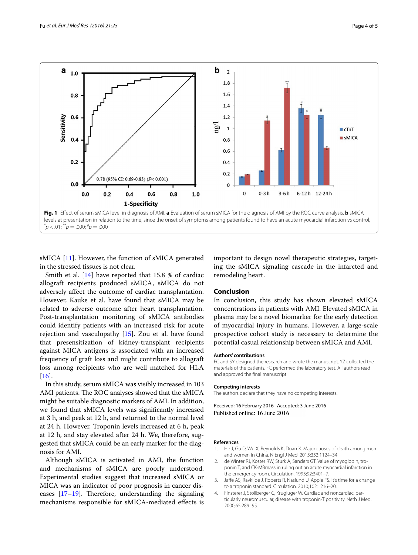

<span id="page-3-4"></span>sMICA [[11\]](#page-4-7). However, the function of sMICA generated in the stressed tissues is not clear.

Smith et al. [\[14](#page-4-8)] have reported that 15.8 % of cardiac allograft recipients produced sMICA, sMICA do not adversely affect the outcome of cardiac transplantation. However, Kauke et al. have found that sMICA may be related to adverse outcome after heart transplantation. Post-transplantation monitoring of sMICA antibodies could identify patients with an increased risk for acute rejection and vasculopathy [\[15](#page-4-9)]. Zou et al. have found that presensitization of kidney-transplant recipients against MICA antigens is associated with an increased frequency of graft loss and might contribute to allograft loss among recipients who are well matched for HLA  $[16]$  $[16]$ .

In this study, serum sMICA was visibly increased in 103 AMI patients. The ROC analyses showed that the sMICA might be suitable diagnostic markers of AMI. In addition, we found that sMICA levels was significantly increased at 3 h, and peak at 12 h, and returned to the normal level at 24 h. However, Troponin levels increased at 6 h, peak at 12 h, and stay elevated after 24 h. We, therefore, suggested that sMICA could be an early marker for the diagnosis for AMI.

Although sMICA is activated in AMI, the function and mechanisms of sMICA are poorly understood. Experimental studies suggest that increased sMICA or MICA was an indicator of poor prognosis in cancer diseases [[17–](#page-4-11)[19](#page-4-12)]. Therefore, understanding the signaling mechanisms responsible for sMICA-mediated effects is important to design novel therapeutic strategies, targeting the sMICA signaling cascade in the infarcted and remodeling heart.

## **Conclusion**

In conclusion, this study has shown elevated sMICA concentrations in patients with AMI. Elevated sMICA in plasma may be a novel biomarker for the early detection of myocardial injury in humans. However, a large-scale prospective cohort study is necessary to determine the potential casual relationship between sMICA and AMI.

#### **Authors' contributions**

FC and SY designed the research and wrote the manuscript. YZ collected the materials of the patients. FC performed the laboratory test. All authors read and approved the final manuscript.

#### **Competing interests**

The authors declare that they have no competing interests.

Received: 16 February 2016 Accepted: 3 June 2016 Published online: 16 June 2016

#### **References**

- <span id="page-3-0"></span>1. He J, Gu D, Wu X, Reynolds K, Duan X. Major causes of death among men and women in China. N Engl J Med. 2015;353:1124–34.
- <span id="page-3-1"></span>2. de Winter RJ, Koster RW, Sturk A, Sanders GT. Value of myoglobin, troponin T, and CK-MBmass in ruling out an acute myocardial infarction in the emergency room. Circulation. 1995;92:3401–7.
- <span id="page-3-2"></span>3. Jaffe AS, Ravkilde J, Roberts R, Naslund U, Apple FS. It's time for a change to a troponin standard. Circulation. 2010;102:1216–20.
- <span id="page-3-3"></span>4. Finsterer J, Stollberger C, Krugluger W. Cardiac and noncardiac, particularly neuromuscular, disease with troponin-T positivity. Neth J Med. 2000;65:289–95.